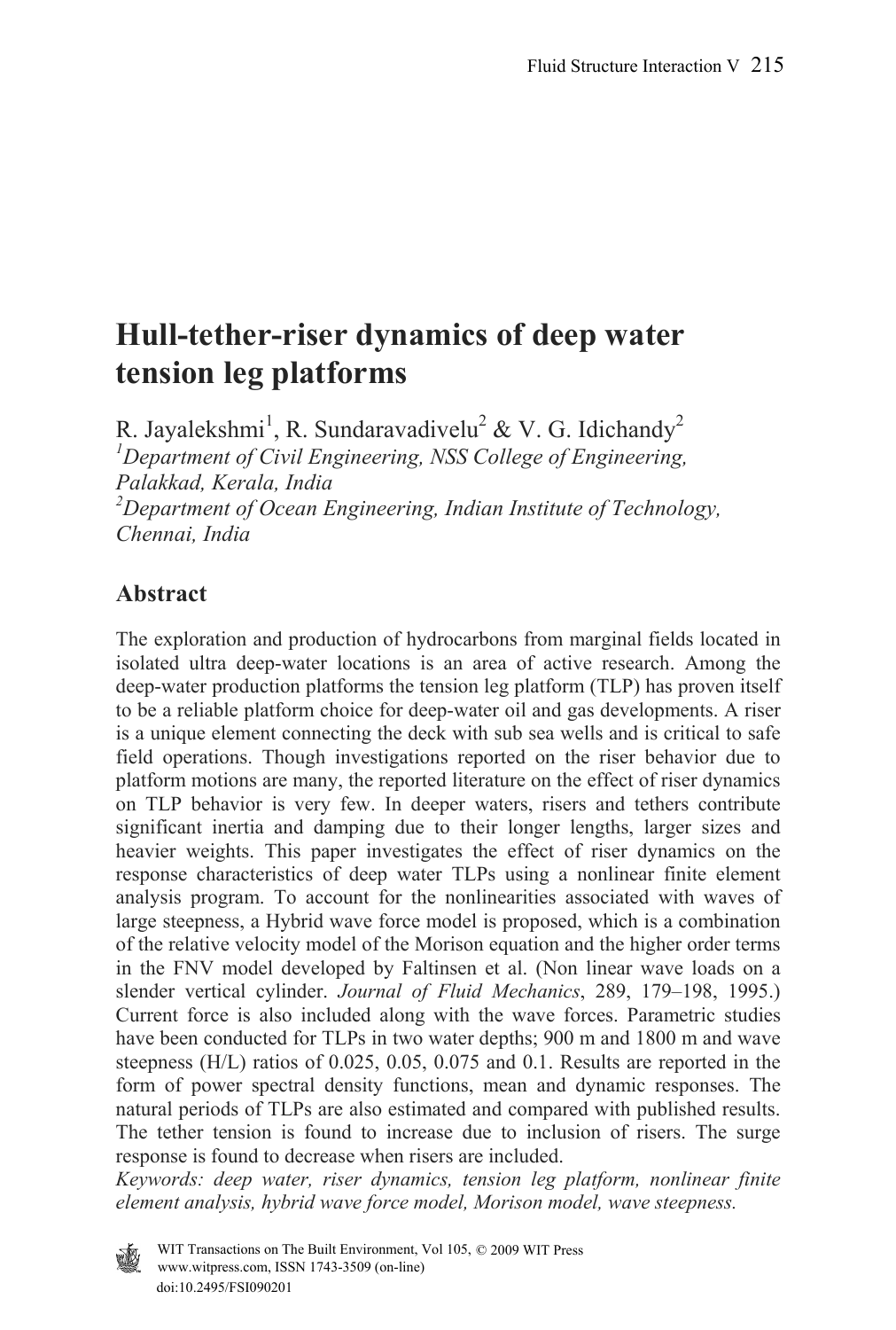# **Hull-tether-riser dynamics of deep water tension leg platforms**

R. Jayalekshmi<sup>1</sup>, R. Sundaravadivelu<sup>2</sup> & V. G. Idichandy<sup>2</sup> *1 Department of Civil Engineering, NSS College of Engineering, Palakkad, Kerala, India 2 Department of Ocean Engineering, Indian Institute of Technology, Chennai, India* 

## **Abstract**

The exploration and production of hydrocarbons from marginal fields located in isolated ultra deep-water locations is an area of active research. Among the deep-water production platforms the tension leg platform (TLP) has proven itself to be a reliable platform choice for deep-water oil and gas developments. A riser is a unique element connecting the deck with sub sea wells and is critical to safe field operations. Though investigations reported on the riser behavior due to platform motions are many, the reported literature on the effect of riser dynamics on TLP behavior is very few. In deeper waters, risers and tethers contribute significant inertia and damping due to their longer lengths, larger sizes and heavier weights. This paper investigates the effect of riser dynamics on the response characteristics of deep water TLPs using a nonlinear finite element analysis program. To account for the nonlinearities associated with waves of large steepness, a Hybrid wave force model is proposed, which is a combination of the relative velocity model of the Morison equation and the higher order terms in the FNV model developed by Faltinsen et al. (Non linear wave loads on a slender vertical cylinder. *Journal of Fluid Mechanics*, 289, 179–198, 1995.) Current force is also included along with the wave forces. Parametric studies have been conducted for TLPs in two water depths; 900 m and 1800 m and wave steepness (H/L) ratios of 0.025, 0.05, 0.075 and 0.1. Results are reported in the form of power spectral density functions, mean and dynamic responses. The natural periods of TLPs are also estimated and compared with published results. The tether tension is found to increase due to inclusion of risers. The surge response is found to decrease when risers are included.

*Keywords: deep water, riser dynamics, tension leg platform, nonlinear finite element analysis, hybrid wave force model, Morison model, wave steepness.* 

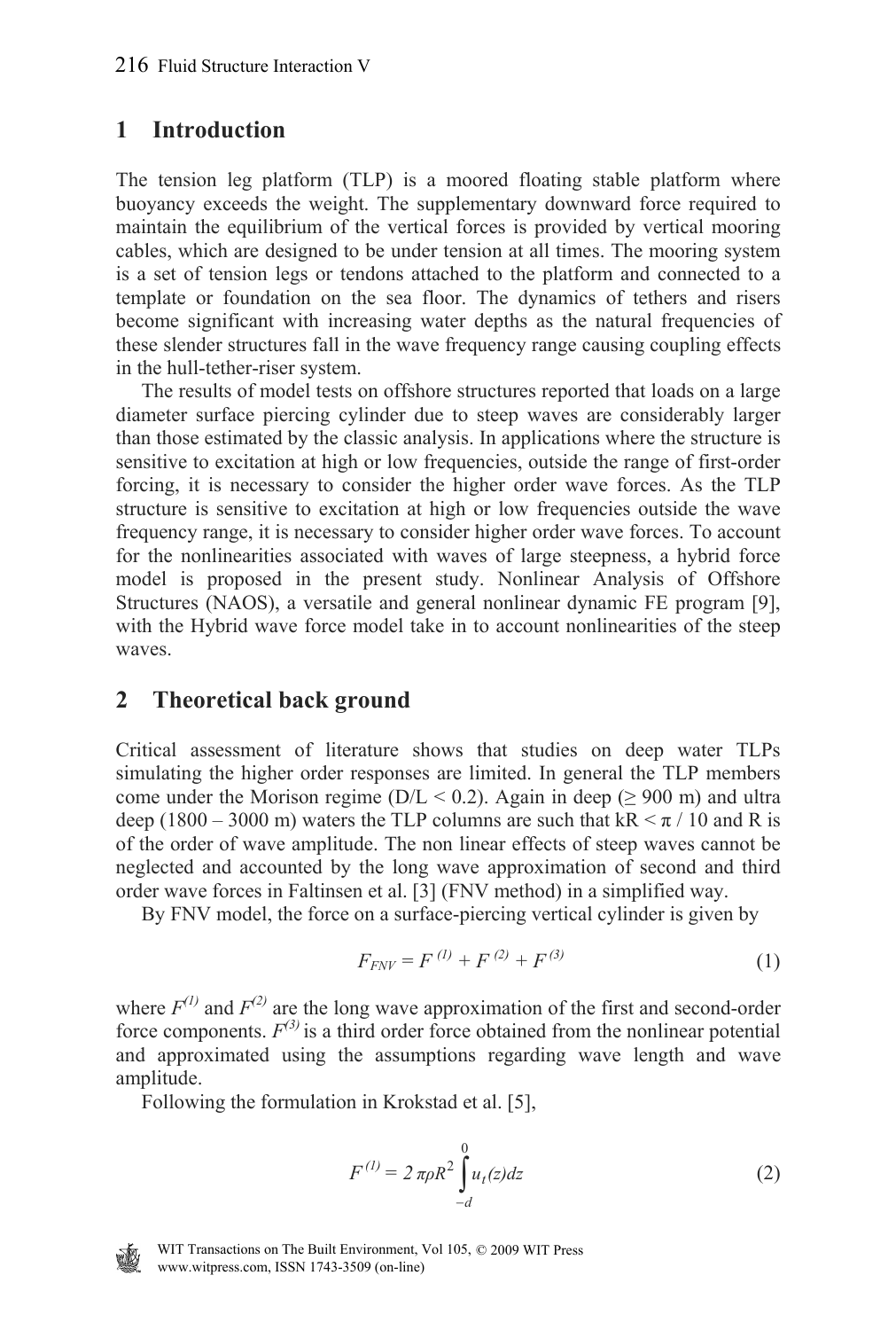### **1 Introduction**

The tension leg platform (TLP) is a moored floating stable platform where buoyancy exceeds the weight. The supplementary downward force required to maintain the equilibrium of the vertical forces is provided by vertical mooring cables, which are designed to be under tension at all times. The mooring system is a set of tension legs or tendons attached to the platform and connected to a template or foundation on the sea floor. The dynamics of tethers and risers become significant with increasing water depths as the natural frequencies of these slender structures fall in the wave frequency range causing coupling effects in the hull-tether-riser system.

 The results of model tests on offshore structures reported that loads on a large diameter surface piercing cylinder due to steep waves are considerably larger than those estimated by the classic analysis. In applications where the structure is sensitive to excitation at high or low frequencies, outside the range of first-order forcing, it is necessary to consider the higher order wave forces. As the TLP structure is sensitive to excitation at high or low frequencies outside the wave frequency range, it is necessary to consider higher order wave forces. To account for the nonlinearities associated with waves of large steepness, a hybrid force model is proposed in the present study. Nonlinear Analysis of Offshore Structures (NAOS), a versatile and general nonlinear dynamic FE program [9], with the Hybrid wave force model take in to account nonlinearities of the steep waves.

### **2 Theoretical back ground**

Critical assessment of literature shows that studies on deep water TLPs simulating the higher order responses are limited. In general the TLP members come under the Morison regime ( $D/L < 0.2$ ). Again in deep ( $\geq 900$  m) and ultra deep (1800 – 3000 m) waters the TLP columns are such that kR  $\leq \pi/10$  and R is of the order of wave amplitude. The non linear effects of steep waves cannot be neglected and accounted by the long wave approximation of second and third order wave forces in Faltinsen et al. [3] (FNV method) in a simplified way.

By FNV model, the force on a surface-piercing vertical cylinder is given by

$$
F_{FNV} = F^{(1)} + F^{(2)} + F^{(3)} \tag{1}
$$

where  $F^{(1)}$  and  $F^{(2)}$  are the long wave approximation of the first and second-order force components.  $F^{(3)}$  is a third order force obtained from the nonlinear potential and approximated using the assumptions regarding wave length and wave amplitude.

Following the formulation in Krokstad et al. [5],

$$
F^{(l)} = 2 \pi \rho R^2 \int_{-d}^{0} u_t(z) dz
$$
 (2)



www.witpress.com, ISSN 1743-3509 (on-line) WIT Transactions on The Built Environment, Vol 105, © 2009 WIT Press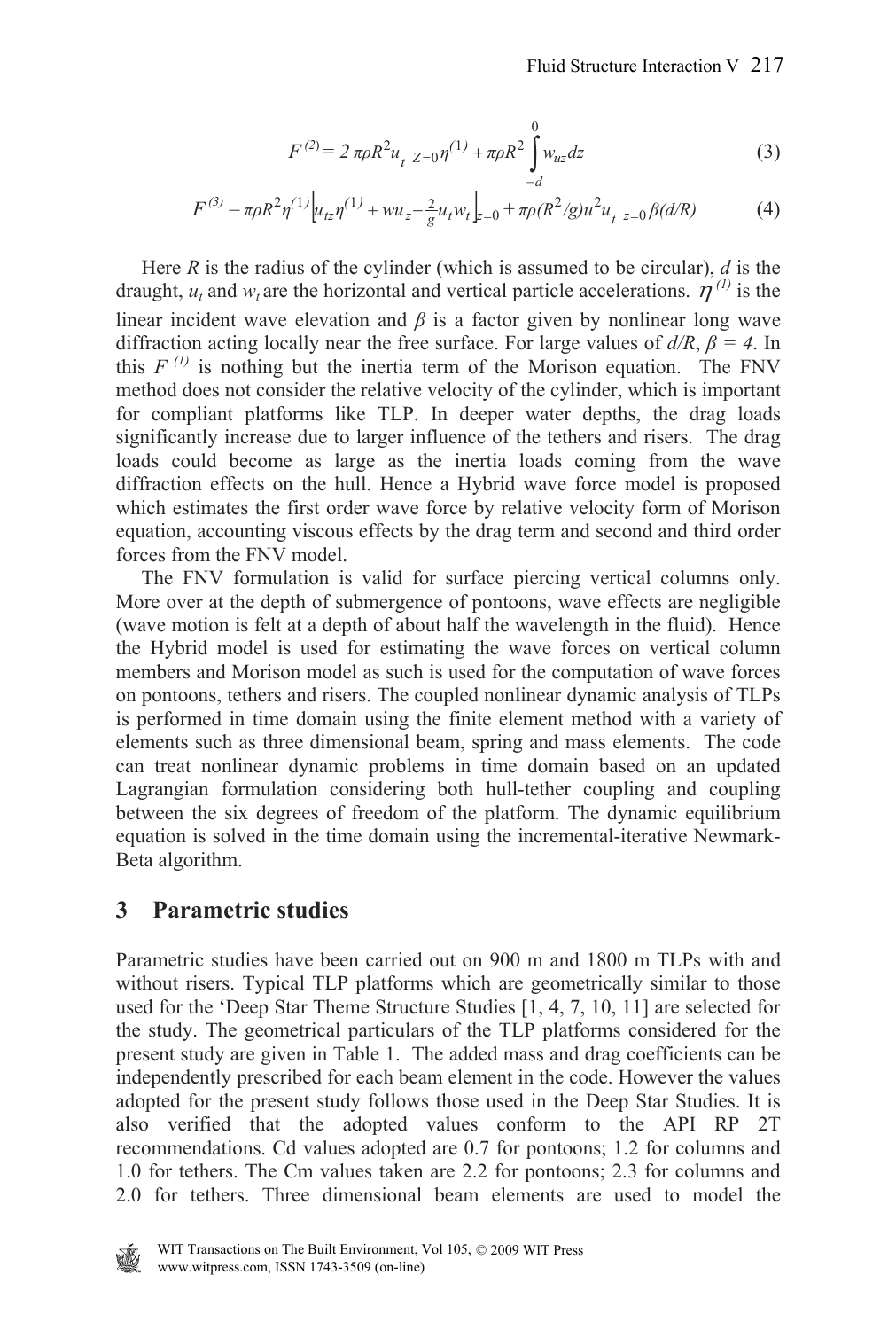$$
F^{(2)} = 2 \pi \rho R^2 u_t |_{Z=0} \eta^{(1)} + \pi \rho R^2 \int_{-d}^{0} w_{uz} dz
$$
 (3)

$$
F^{(3)} = \pi \rho R^2 \eta^{(1)} \Big[ u_{tz} \eta^{(1)} + w u_z - \frac{2}{g} u_t w_t \Big]_{z=0} + \pi \rho (R^2/g) u^2 u_t \Big|_{z=0} \beta (d/R)
$$
 (4)

 Here *R* is the radius of the cylinder (which is assumed to be circular), *d* is the draught,  $u_t$  and  $w_t$  are the horizontal and vertical particle accelerations.  $\hat{\boldsymbol{\eta}}^{(l)}$  is the linear incident wave elevation and  $\beta$  is a factor given by nonlinear long wave diffraction acting locally near the free surface. For large values of  $d/R$ ,  $\beta = 4$ . In this  $F^{(1)}$  is nothing but the inertia term of the Morison equation. The FNV method does not consider the relative velocity of the cylinder, which is important for compliant platforms like TLP. In deeper water depths, the drag loads significantly increase due to larger influence of the tethers and risers. The drag loads could become as large as the inertia loads coming from the wave diffraction effects on the hull. Hence a Hybrid wave force model is proposed which estimates the first order wave force by relative velocity form of Morison equation, accounting viscous effects by the drag term and second and third order forces from the FNV model.

 The FNV formulation is valid for surface piercing vertical columns only. More over at the depth of submergence of pontoons, wave effects are negligible (wave motion is felt at a depth of about half the wavelength in the fluid). Hence the Hybrid model is used for estimating the wave forces on vertical column members and Morison model as such is used for the computation of wave forces on pontoons, tethers and risers. The coupled nonlinear dynamic analysis of TLPs is performed in time domain using the finite element method with a variety of elements such as three dimensional beam, spring and mass elements. The code can treat nonlinear dynamic problems in time domain based on an updated Lagrangian formulation considering both hull-tether coupling and coupling between the six degrees of freedom of the platform. The dynamic equilibrium equation is solved in the time domain using the incremental-iterative Newmark-Beta algorithm.

#### **3 Parametric studies**

Parametric studies have been carried out on 900 m and 1800 m TLPs with and without risers. Typical TLP platforms which are geometrically similar to those used for the 'Deep Star Theme Structure Studies [1, 4, 7, 10, 11] are selected for the study. The geometrical particulars of the TLP platforms considered for the present study are given in Table 1. The added mass and drag coefficients can be independently prescribed for each beam element in the code. However the values adopted for the present study follows those used in the Deep Star Studies. It is also verified that the adopted values conform to the API RP 2T recommendations. Cd values adopted are 0.7 for pontoons; 1.2 for columns and 1.0 for tethers. The Cm values taken are 2.2 for pontoons; 2.3 for columns and 2.0 for tethers. Three dimensional beam elements are used to model the

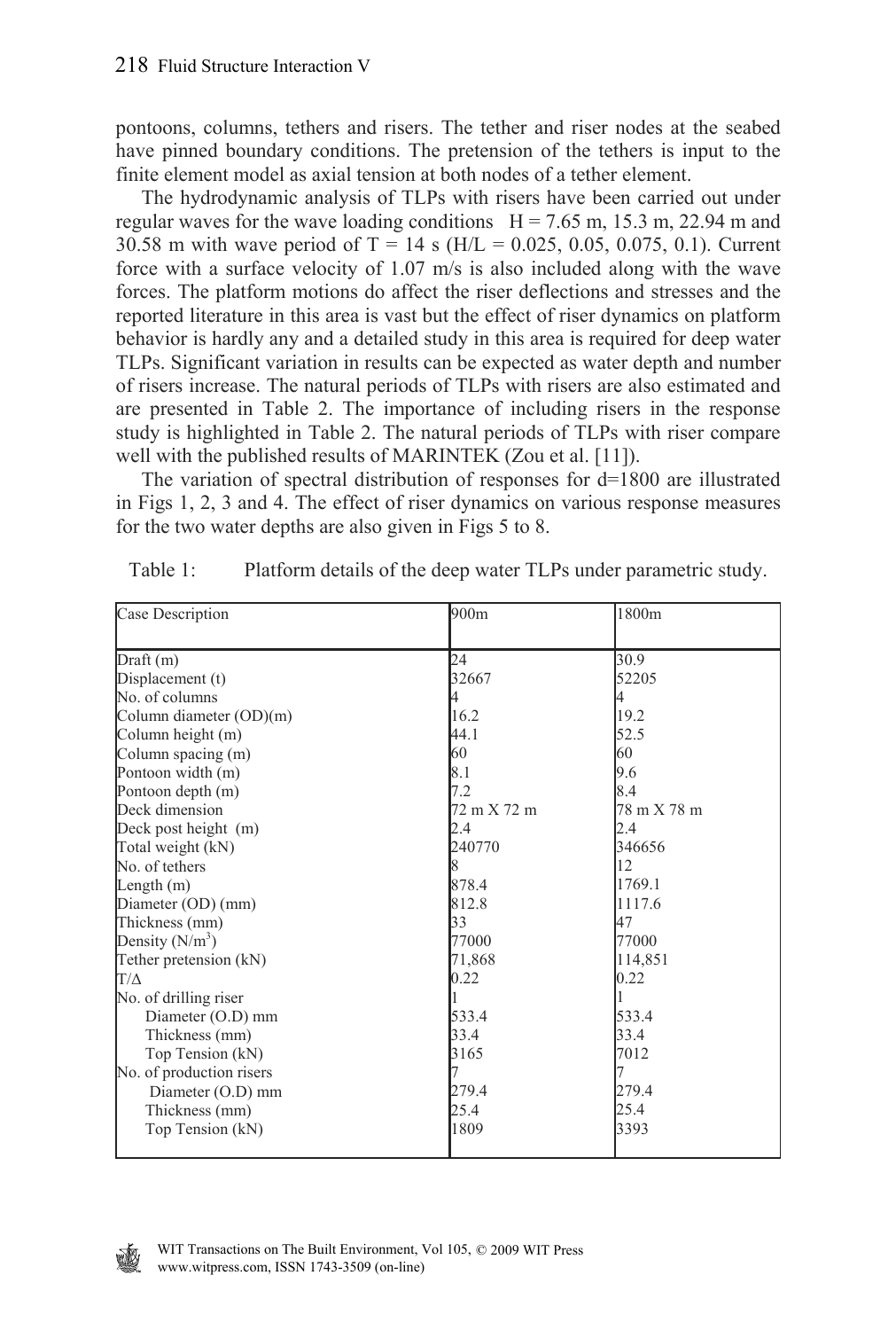pontoons, columns, tethers and risers. The tether and riser nodes at the seabed have pinned boundary conditions. The pretension of the tethers is input to the finite element model as axial tension at both nodes of a tether element.

 The hydrodynamic analysis of TLPs with risers have been carried out under regular waves for the wave loading conditions  $H = 7.65$  m, 15.3 m, 22.94 m and 30.58 m with wave period of T = 14 s (H/L = 0.025, 0.05, 0.075, 0.1). Current force with a surface velocity of 1.07 m/s is also included along with the wave forces. The platform motions do affect the riser deflections and stresses and the reported literature in this area is vast but the effect of riser dynamics on platform behavior is hardly any and a detailed study in this area is required for deep water TLPs. Significant variation in results can be expected as water depth and number of risers increase. The natural periods of TLPs with risers are also estimated and are presented in Table 2. The importance of including risers in the response study is highlighted in Table 2. The natural periods of TLPs with riser compare well with the published results of MARINTEK (Zou et al. [11]).

 The variation of spectral distribution of responses for d=1800 are illustrated in Figs 1, 2, 3 and 4. The effect of riser dynamics on various response measures for the two water depths are also given in Figs 5 to 8.

| Case Description         | 900m        | 1800m       |  |  |
|--------------------------|-------------|-------------|--|--|
|                          |             |             |  |  |
| Draft (m)                | 24          | 30.9        |  |  |
| Displacement (t)         | 32667       | 52205       |  |  |
| No. of columns           |             | 4           |  |  |
| Column diameter (OD)(m)  | 16.2        | 19.2        |  |  |
| Column height (m)        | 44.1        | 52.5        |  |  |
| Column spacing (m)       | 60          | 60          |  |  |
| Pontoon width (m)        | 8.1         | 9.6         |  |  |
| Pontoon depth (m)        | 7.2         | 8.4         |  |  |
| Deck dimension           | 72 m X 72 m | 78 m X 78 m |  |  |
| Deck post height (m)     | 2.4         | 2.4         |  |  |
| Total weight (kN)        | 240770      | 346656      |  |  |
| No. of tethers           | 8           | 12          |  |  |
| Length $(m)$             | 878.4       | 1769.1      |  |  |
| Diameter (OD) (mm)       | 812.8       | 1117.6      |  |  |
| Thickness (mm)           | 33          | 47          |  |  |
| Density $(N/m^3)$        | 77000       | 77000       |  |  |
| Tether pretension (kN)   | 71,868      | 114,851     |  |  |
| $T/\Delta$               | 0.22        | 0.22        |  |  |
| No. of drilling riser    |             |             |  |  |
| Diameter (O.D) mm        | 533.4       | 533.4       |  |  |
| Thickness (mm)           | 33.4        | 33.4        |  |  |
| Top Tension (kN)         | 3165        | 7012        |  |  |
| No. of production risers |             |             |  |  |
| Diameter (O.D) mm        | 279.4       | 279.4       |  |  |
| Thickness (mm)           | 25.4        | 25.4        |  |  |
| Top Tension (kN)         | 1809        | 3393        |  |  |
|                          |             |             |  |  |

| Table 1: |  |  |  | Platform details of the deep water TLPs under parametric study. |  |
|----------|--|--|--|-----------------------------------------------------------------|--|
|          |  |  |  |                                                                 |  |

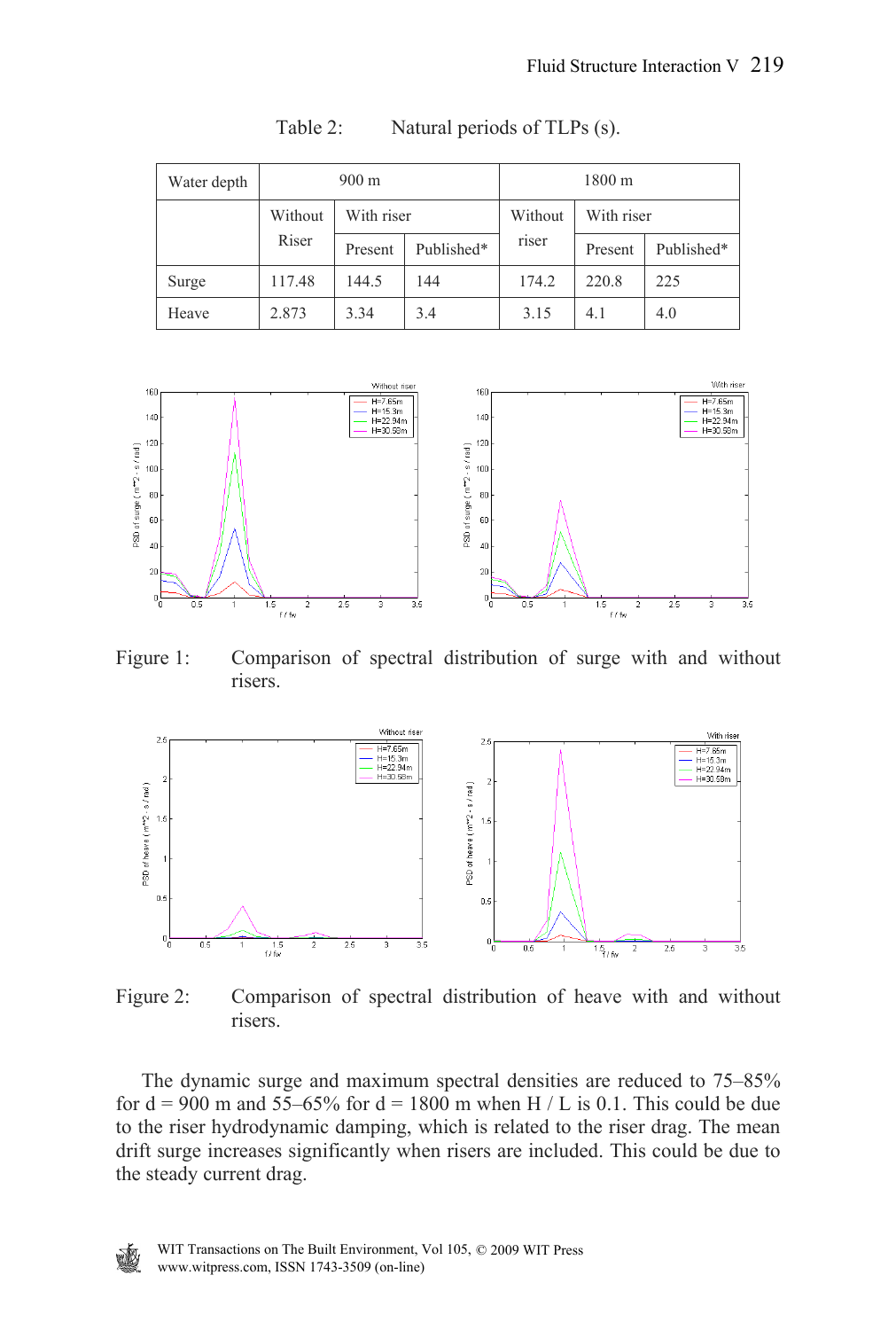| Water depth | $900 \text{ m}$ |            |            | 1800 m  |            |            |
|-------------|-----------------|------------|------------|---------|------------|------------|
|             | Without         | With riser |            | Without | With riser |            |
|             | Riser           | Present    | Published* | riser   | Present    | Published* |
| Surge       | 117.48          | 144.5      | 144        | 174.2   | 220.8      | 225        |
| Heave       | 2.873           | 3.34       | 3.4        | 3.15    | 4.1        | 4.0        |

Table 2: Natural periods of TLPs (s).



Figure 1: Comparison of spectral distribution of surge with and without risers.



W

Figure 2: Comparison of spectral distribution of heave with and without risers.

 The dynamic surge and maximum spectral densities are reduced to 75–85% for  $d = 900$  m and 55–65% for  $d = 1800$  m when H / L is 0.1. This could be due to the riser hydrodynamic damping, which is related to the riser drag. The mean drift surge increases significantly when risers are included. This could be due to the steady current drag.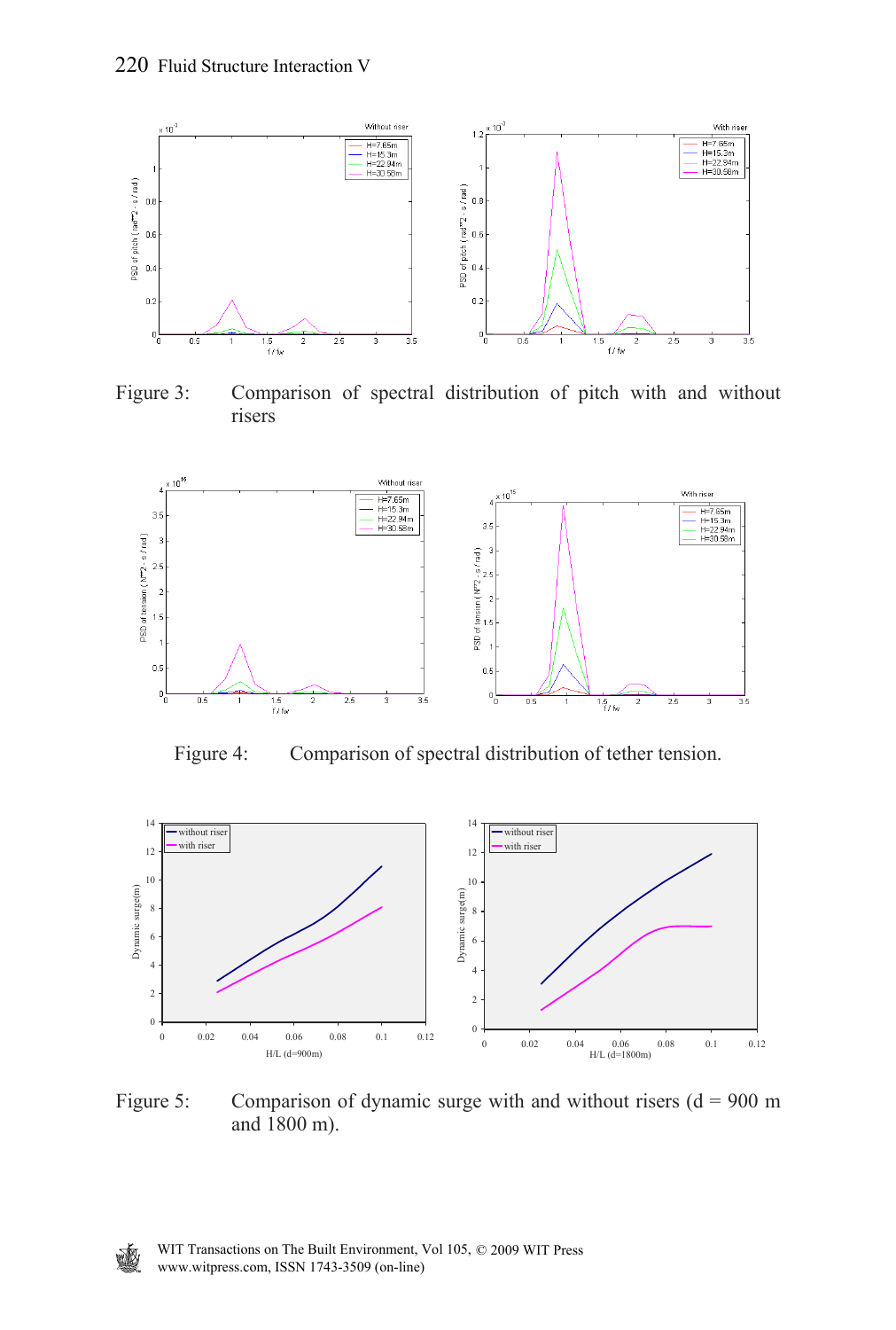

Figure 3: Comparison of spectral distribution of pitch with and without risers



Figure 4: Comparison of spectral distribution of tether tension.



Figure 5: Comparison of dynamic surge with and without risers  $(d = 900 \text{ m})$ and 1800 m).

變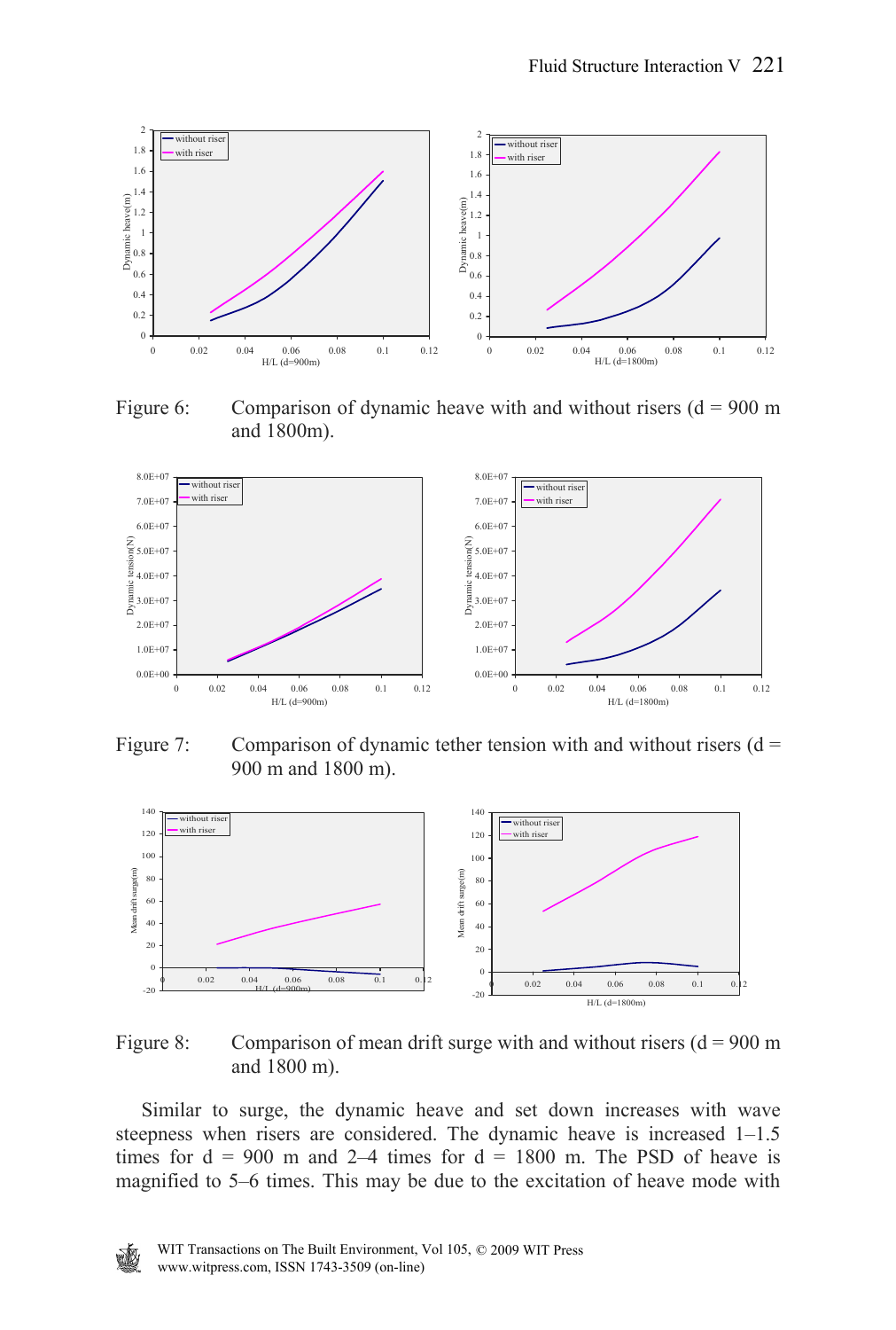

Figure 6: Comparison of dynamic heave with and without risers  $(d = 900 \text{ m})$ and 1800m).



Figure 7: Comparison of dynamic tether tension with and without risers  $(d =$ 900 m and 1800 m).



Figure 8: Comparison of mean drift surge with and without risers  $(d = 900 \text{ m})$ and 1800 m).

 Similar to surge, the dynamic heave and set down increases with wave steepness when risers are considered. The dynamic heave is increased 1–1.5 times for  $d = 900$  m and 2–4 times for  $d = 1800$  m. The PSD of heave is magnified to 5–6 times. This may be due to the excitation of heave mode with

夔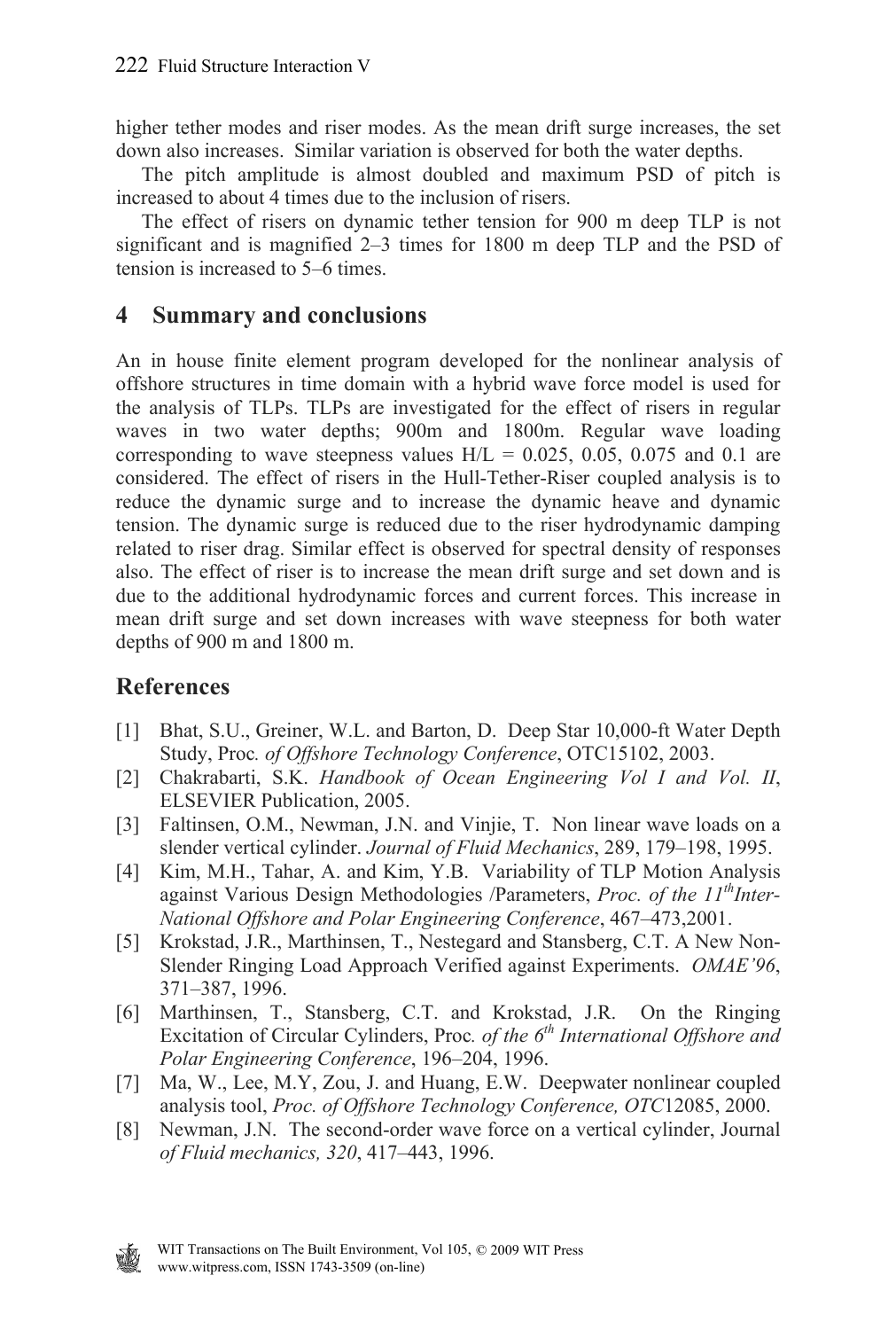higher tether modes and riser modes. As the mean drift surge increases, the set down also increases. Similar variation is observed for both the water depths.

 The pitch amplitude is almost doubled and maximum PSD of pitch is increased to about 4 times due to the inclusion of risers.

 The effect of risers on dynamic tether tension for 900 m deep TLP is not significant and is magnified 2–3 times for 1800 m deep TLP and the PSD of tension is increased to 5–6 times.

#### **4 Summary and conclusions**

An in house finite element program developed for the nonlinear analysis of offshore structures in time domain with a hybrid wave force model is used for the analysis of TLPs. TLPs are investigated for the effect of risers in regular waves in two water depths; 900m and 1800m. Regular wave loading corresponding to wave steepness values  $H/L = 0.025, 0.05, 0.075$  and 0.1 are considered. The effect of risers in the Hull-Tether-Riser coupled analysis is to reduce the dynamic surge and to increase the dynamic heave and dynamic tension. The dynamic surge is reduced due to the riser hydrodynamic damping related to riser drag. Similar effect is observed for spectral density of responses also. The effect of riser is to increase the mean drift surge and set down and is due to the additional hydrodynamic forces and current forces. This increase in mean drift surge and set down increases with wave steepness for both water depths of 900 m and 1800 m.

### **References**

- [1] Bhat, S.U., Greiner, W.L. and Barton, D. Deep Star 10,000-ft Water Depth Study, Proc*. of Offshore Technology Conference*, OTC15102, 2003.
- [2] Chakrabarti, S.K. *Handbook of Ocean Engineering Vol I and Vol. II*, ELSEVIER Publication, 2005.
- [3] Faltinsen, O.M., Newman, J.N. and Vinjie, T. Non linear wave loads on a slender vertical cylinder. *Journal of Fluid Mechanics*, 289, 179–198, 1995.
- [4] Kim, M.H., Tahar, A. and Kim, Y.B. Variability of TLP Motion Analysis against Various Design Methodologies /Parameters, *Proc. of the 11<sup>th</sup>Inter-National Offshore and Polar Engineering Conference*, 467–473,2001.
- [5] Krokstad, J.R., Marthinsen, T., Nestegard and Stansberg, C.T. A New Non-Slender Ringing Load Approach Verified against Experiments. *OMAE'96*, 371–387, 1996.
- [6] Marthinsen, T., Stansberg, C.T. and Krokstad, J.R. On the Ringing Excitation of Circular Cylinders, Proc*. of the 6th International Offshore and Polar Engineering Conference*, 196–204, 1996.
- [7] Ma, W., Lee, M.Y, Zou, J. and Huang, E.W. Deepwater nonlinear coupled analysis tool, *Proc. of Offshore Technology Conference, OTC*12085, 2000.
- [8] Newman, J.N. The second-order wave force on a vertical cylinder, Journal *of Fluid mechanics, 320*, 417–443, 1996.